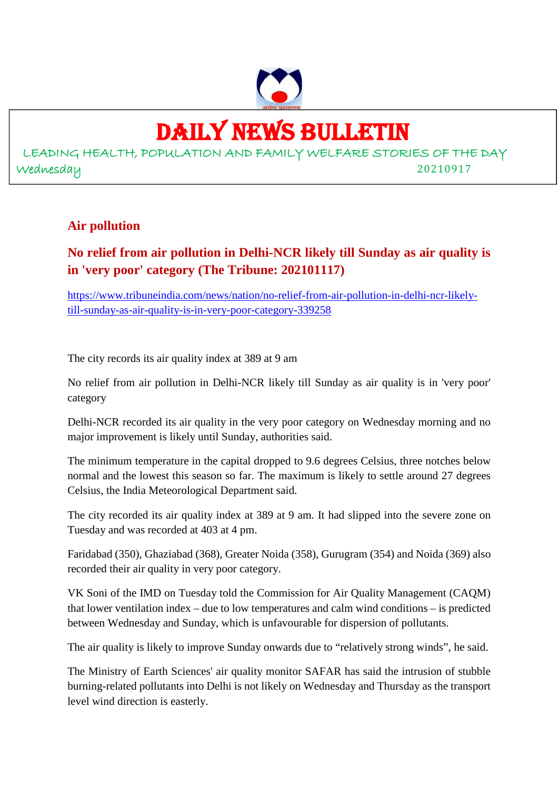

# DAILY NEWS BULLETIN

LEADING HEALTH, POPULATION AND FAMILY WELFARE STORIES OF THE DAY Wednesday 20210917

## **Air pollution**

## **No relief from air pollution in Delhi-NCR likely till Sunday as air quality is in 'very poor' category (The Tribune: 202101117)**

https://www.tribuneindia.com/news/nation/no-relief-from-air-pollution-in-delhi-ncr-likelytill-sunday-as-air-quality-is-in-very-poor-category-339258

The city records its air quality index at 389 at 9 am

No relief from air pollution in Delhi-NCR likely till Sunday as air quality is in 'very poor' category

Delhi-NCR recorded its air quality in the very poor category on Wednesday morning and no major improvement is likely until Sunday, authorities said.

The minimum temperature in the capital dropped to 9.6 degrees Celsius, three notches below normal and the lowest this season so far. The maximum is likely to settle around 27 degrees Celsius, the India Meteorological Department said.

The city recorded its air quality index at 389 at 9 am. It had slipped into the severe zone on Tuesday and was recorded at 403 at 4 pm.

Faridabad (350), Ghaziabad (368), Greater Noida (358), Gurugram (354) and Noida (369) also recorded their air quality in very poor category.

VK Soni of the IMD on Tuesday told the Commission for Air Quality Management (CAQM) that lower ventilation index – due to low temperatures and calm wind conditions – is predicted between Wednesday and Sunday, which is unfavourable for dispersion of pollutants.

The air quality is likely to improve Sunday onwards due to "relatively strong winds", he said.

The Ministry of Earth Sciences' air quality monitor SAFAR has said the intrusion of stubble burning-related pollutants into Delhi is not likely on Wednesday and Thursday as the transport level wind direction is easterly.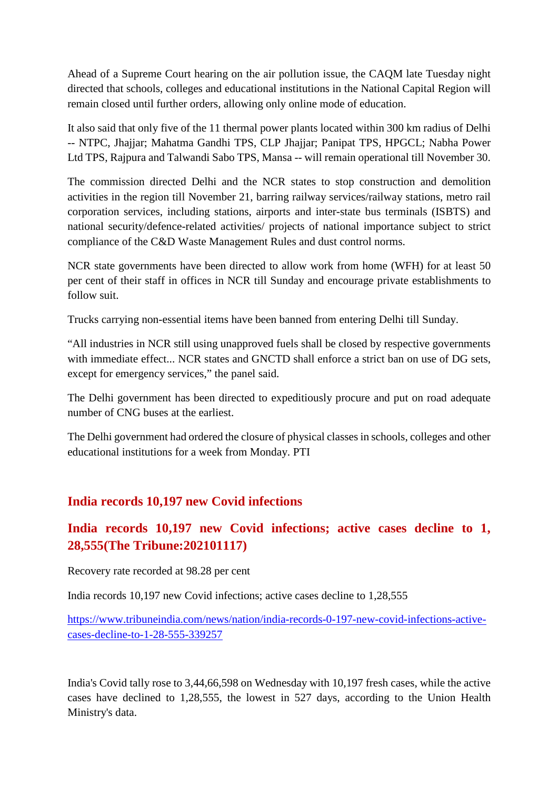Ahead of a Supreme Court hearing on the air pollution issue, the CAQM late Tuesday night directed that schools, colleges and educational institutions in the National Capital Region will remain closed until further orders, allowing only online mode of education.

It also said that only five of the 11 thermal power plants located within 300 km radius of Delhi -- NTPC, Jhajjar; Mahatma Gandhi TPS, CLP Jhajjar; Panipat TPS, HPGCL; Nabha Power Ltd TPS, Rajpura and Talwandi Sabo TPS, Mansa -- will remain operational till November 30.

The commission directed Delhi and the NCR states to stop construction and demolition activities in the region till November 21, barring railway services/railway stations, metro rail corporation services, including stations, airports and inter-state bus terminals (ISBTS) and national security/defence-related activities/ projects of national importance subject to strict compliance of the C&D Waste Management Rules and dust control norms.

NCR state governments have been directed to allow work from home (WFH) for at least 50 per cent of their staff in offices in NCR till Sunday and encourage private establishments to follow suit.

Trucks carrying non-essential items have been banned from entering Delhi till Sunday.

"All industries in NCR still using unapproved fuels shall be closed by respective governments with immediate effect... NCR states and GNCTD shall enforce a strict ban on use of DG sets, except for emergency services," the panel said.

The Delhi government has been directed to expeditiously procure and put on road adequate number of CNG buses at the earliest.

The Delhi government had ordered the closure of physical classes in schools, colleges and other educational institutions for a week from Monday. PTI

## **India records 10,197 new Covid infections**

## **India records 10,197 new Covid infections; active cases decline to 1, 28,555(The Tribune:202101117)**

Recovery rate recorded at 98.28 per cent

India records 10,197 new Covid infections; active cases decline to 1,28,555

https://www.tribuneindia.com/news/nation/india-records-0-197-new-covid-infections-activecases-decline-to-1-28-555-339257

India's Covid tally rose to 3,44,66,598 on Wednesday with 10,197 fresh cases, while the active cases have declined to 1,28,555, the lowest in 527 days, according to the Union Health Ministry's data.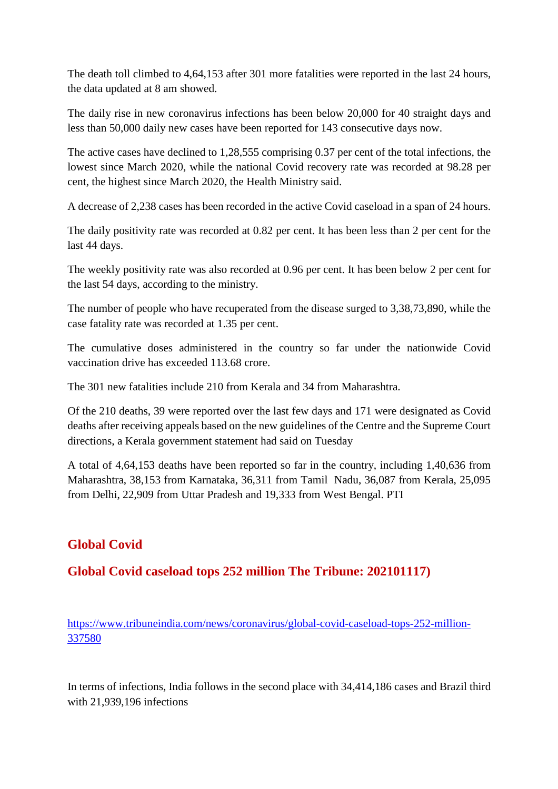The death toll climbed to 4,64,153 after 301 more fatalities were reported in the last 24 hours, the data updated at 8 am showed.

The daily rise in new coronavirus infections has been below 20,000 for 40 straight days and less than 50,000 daily new cases have been reported for 143 consecutive days now.

The active cases have declined to 1,28,555 comprising 0.37 per cent of the total infections, the lowest since March 2020, while the national Covid recovery rate was recorded at 98.28 per cent, the highest since March 2020, the Health Ministry said.

A decrease of 2,238 cases has been recorded in the active Covid caseload in a span of 24 hours.

The daily positivity rate was recorded at 0.82 per cent. It has been less than 2 per cent for the last 44 days.

The weekly positivity rate was also recorded at 0.96 per cent. It has been below 2 per cent for the last 54 days, according to the ministry.

The number of people who have recuperated from the disease surged to 3,38,73,890, while the case fatality rate was recorded at 1.35 per cent.

The cumulative doses administered in the country so far under the nationwide Covid vaccination drive has exceeded 113.68 crore.

The 301 new fatalities include 210 from Kerala and 34 from Maharashtra.

Of the 210 deaths, 39 were reported over the last few days and 171 were designated as Covid deaths after receiving appeals based on the new guidelines of the Centre and the Supreme Court directions, a Kerala government statement had said on Tuesday

A total of 4,64,153 deaths have been reported so far in the country, including 1,40,636 from Maharashtra, 38,153 from Karnataka, 36,311 from Tamil Nadu, 36,087 from Kerala, 25,095 from Delhi, 22,909 from Uttar Pradesh and 19,333 from West Bengal. PTI

## **Global Covid**

## **Global Covid caseload tops 252 million The Tribune: 202101117)**

https://www.tribuneindia.com/news/coronavirus/global-covid-caseload-tops-252-million-337580

In terms of infections, India follows in the second place with 34,414,186 cases and Brazil third with 21,939,196 infections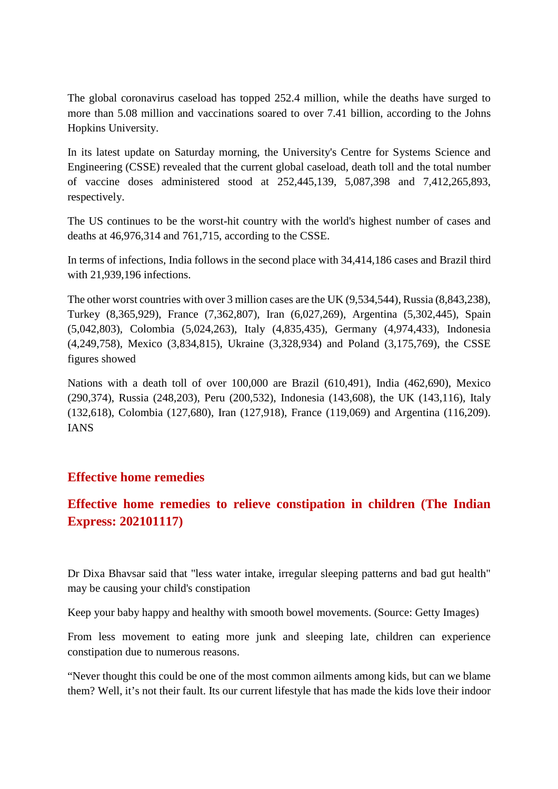The global coronavirus caseload has topped 252.4 million, while the deaths have surged to more than 5.08 million and vaccinations soared to over 7.41 billion, according to the Johns Hopkins University.

In its latest update on Saturday morning, the University's Centre for Systems Science and Engineering (CSSE) revealed that the current global caseload, death toll and the total number of vaccine doses administered stood at 252,445,139, 5,087,398 and 7,412,265,893, respectively.

The US continues to be the worst-hit country with the world's highest number of cases and deaths at 46,976,314 and 761,715, according to the CSSE.

In terms of infections, India follows in the second place with 34,414,186 cases and Brazil third with 21,939,196 infections.

The other worst countries with over 3 million cases are the UK (9,534,544), Russia (8,843,238), Turkey (8,365,929), France (7,362,807), Iran (6,027,269), Argentina (5,302,445), Spain (5,042,803), Colombia (5,024,263), Italy (4,835,435), Germany (4,974,433), Indonesia (4,249,758), Mexico (3,834,815), Ukraine (3,328,934) and Poland (3,175,769), the CSSE figures showed

Nations with a death toll of over 100,000 are Brazil (610,491), India (462,690), Mexico (290,374), Russia (248,203), Peru (200,532), Indonesia (143,608), the UK (143,116), Italy (132,618), Colombia (127,680), Iran (127,918), France (119,069) and Argentina (116,209). IANS

## **Effective home remedies**

## **Effective home remedies to relieve constipation in children (The Indian Express: 202101117)**

Dr Dixa Bhavsar said that "less water intake, irregular sleeping patterns and bad gut health" may be causing your child's constipation

Keep your baby happy and healthy with smooth bowel movements. (Source: Getty Images)

From less movement to eating more junk and sleeping late, children can experience constipation due to numerous reasons.

"Never thought this could be one of the most common ailments among kids, but can we blame them? Well, it's not their fault. Its our current lifestyle that has made the kids love their indoor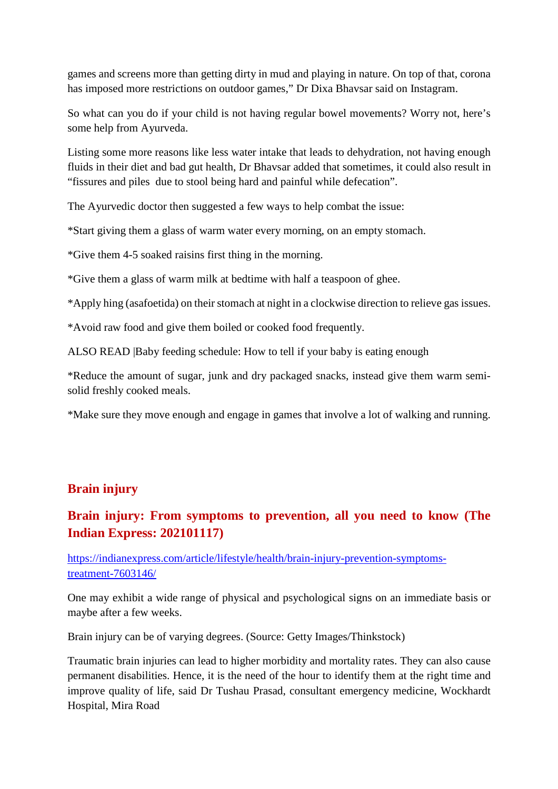games and screens more than getting dirty in mud and playing in nature. On top of that, corona has imposed more restrictions on outdoor games," Dr Dixa Bhavsar said on Instagram.

So what can you do if your child is not having regular bowel movements? Worry not, here's some help from Ayurveda.

Listing some more reasons like less water intake that leads to dehydration, not having enough fluids in their diet and bad gut health, Dr Bhavsar added that sometimes, it could also result in "fissures and piles due to stool being hard and painful while defecation".

The Ayurvedic doctor then suggested a few ways to help combat the issue:

\*Start giving them a glass of warm water every morning, on an empty stomach.

\*Give them 4-5 soaked raisins first thing in the morning.

\*Give them a glass of warm milk at bedtime with half a teaspoon of ghee.

\*Apply hing (asafoetida) on their stomach at night in a clockwise direction to relieve gas issues.

\*Avoid raw food and give them boiled or cooked food frequently.

ALSO READ |Baby feeding schedule: How to tell if your baby is eating enough

\*Reduce the amount of sugar, junk and dry packaged snacks, instead give them warm semisolid freshly cooked meals.

\*Make sure they move enough and engage in games that involve a lot of walking and running.

## **Brain injury**

## **Brain injury: From symptoms to prevention, all you need to know (The Indian Express: 202101117)**

https://indianexpress.com/article/lifestyle/health/brain-injury-prevention-symptomstreatment-7603146/

One may exhibit a wide range of physical and psychological signs on an immediate basis or maybe after a few weeks.

Brain injury can be of varying degrees. (Source: Getty Images/Thinkstock)

Traumatic brain injuries can lead to higher morbidity and mortality rates. They can also cause permanent disabilities. Hence, it is the need of the hour to identify them at the right time and improve quality of life, said Dr Tushau Prasad, consultant emergency medicine, Wockhardt Hospital, Mira Road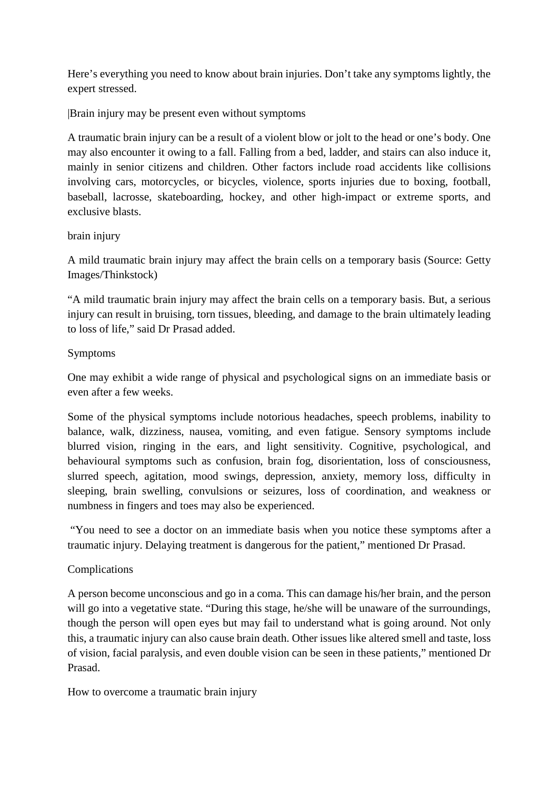Here's everything you need to know about brain injuries. Don't take any symptoms lightly, the expert stressed.

|Brain injury may be present even without symptoms

A traumatic brain injury can be a result of a violent blow or jolt to the head or one's body. One may also encounter it owing to a fall. Falling from a bed, ladder, and stairs can also induce it, mainly in senior citizens and children. Other factors include road accidents like collisions involving cars, motorcycles, or bicycles, violence, sports injuries due to boxing, football, baseball, lacrosse, skateboarding, hockey, and other high-impact or extreme sports, and exclusive blasts.

### brain injury

A mild traumatic brain injury may affect the brain cells on a temporary basis (Source: Getty Images/Thinkstock)

"A mild traumatic brain injury may affect the brain cells on a temporary basis. But, a serious injury can result in bruising, torn tissues, bleeding, and damage to the brain ultimately leading to loss of life," said Dr Prasad added.

## Symptoms

One may exhibit a wide range of physical and psychological signs on an immediate basis or even after a few weeks.

Some of the physical symptoms include notorious headaches, speech problems, inability to balance, walk, dizziness, nausea, vomiting, and even fatigue. Sensory symptoms include blurred vision, ringing in the ears, and light sensitivity. Cognitive, psychological, and behavioural symptoms such as confusion, brain fog, disorientation, loss of consciousness, slurred speech, agitation, mood swings, depression, anxiety, memory loss, difficulty in sleeping, brain swelling, convulsions or seizures, loss of coordination, and weakness or numbness in fingers and toes may also be experienced.

"You need to see a doctor on an immediate basis when you notice these symptoms after a traumatic injury. Delaying treatment is dangerous for the patient," mentioned Dr Prasad.

## Complications

A person become unconscious and go in a coma. This can damage his/her brain, and the person will go into a vegetative state. "During this stage, he/she will be unaware of the surroundings, though the person will open eyes but may fail to understand what is going around. Not only this, a traumatic injury can also cause brain death. Other issues like altered smell and taste, loss of vision, facial paralysis, and even double vision can be seen in these patients," mentioned Dr Prasad.

How to overcome a traumatic brain injury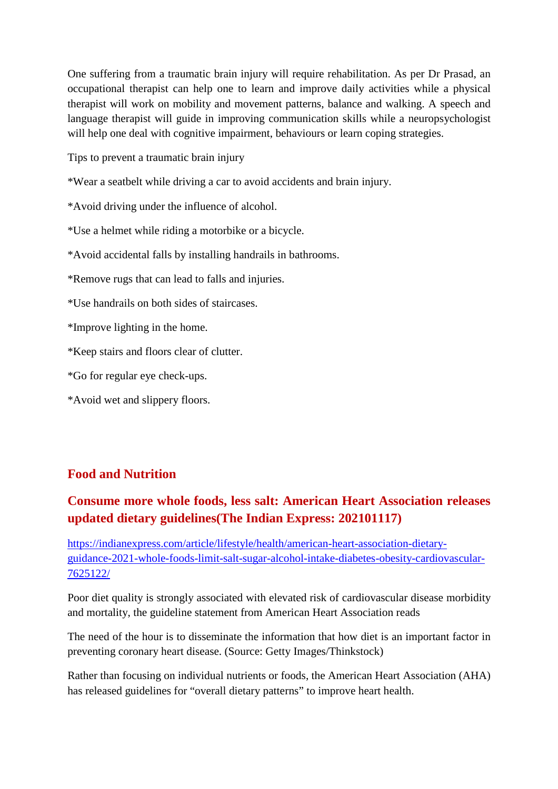One suffering from a traumatic brain injury will require rehabilitation. As per Dr Prasad, an occupational therapist can help one to learn and improve daily activities while a physical therapist will work on mobility and movement patterns, balance and walking. A speech and language therapist will guide in improving communication skills while a neuropsychologist will help one deal with cognitive impairment, behaviours or learn coping strategies.

Tips to prevent a traumatic brain injury

\*Wear a seatbelt while driving a car to avoid accidents and brain injury.

\*Avoid driving under the influence of alcohol.

\*Use a helmet while riding a motorbike or a bicycle.

\*Avoid accidental falls by installing handrails in bathrooms.

\*Remove rugs that can lead to falls and injuries.

\*Use handrails on both sides of staircases.

\*Improve lighting in the home.

\*Keep stairs and floors clear of clutter.

\*Go for regular eye check-ups.

\*Avoid wet and slippery floors.

## **Food and Nutrition**

## **Consume more whole foods, less salt: American Heart Association releases updated dietary guidelines(The Indian Express: 202101117)**

https://indianexpress.com/article/lifestyle/health/american-heart-association-dietaryguidance-2021-whole-foods-limit-salt-sugar-alcohol-intake-diabetes-obesity-cardiovascular-7625122/

Poor diet quality is strongly associated with elevated risk of cardiovascular disease morbidity and mortality, the guideline statement from American Heart Association reads

The need of the hour is to disseminate the information that how diet is an important factor in preventing coronary heart disease. (Source: Getty Images/Thinkstock)

Rather than focusing on individual nutrients or foods, the American Heart Association (AHA) has released guidelines for "overall dietary patterns" to improve heart health.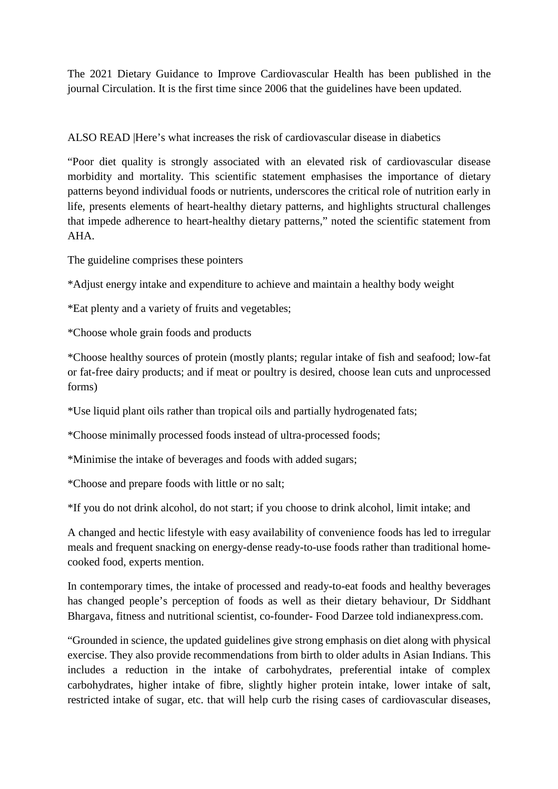The 2021 Dietary Guidance to Improve Cardiovascular Health has been published in the journal Circulation. It is the first time since 2006 that the guidelines have been updated.

ALSO READ |Here's what increases the risk of cardiovascular disease in diabetics

"Poor diet quality is strongly associated with an elevated risk of cardiovascular disease morbidity and mortality. This scientific statement emphasises the importance of dietary patterns beyond individual foods or nutrients, underscores the critical role of nutrition early in life, presents elements of heart-healthy dietary patterns, and highlights structural challenges that impede adherence to heart-healthy dietary patterns," noted the scientific statement from AHA.

The guideline comprises these pointers

\*Adjust energy intake and expenditure to achieve and maintain a healthy body weight

\*Eat plenty and a variety of fruits and vegetables;

\*Choose whole grain foods and products

\*Choose healthy sources of protein (mostly plants; regular intake of fish and seafood; low-fat or fat-free dairy products; and if meat or poultry is desired, choose lean cuts and unprocessed forms)

\*Use liquid plant oils rather than tropical oils and partially hydrogenated fats;

\*Choose minimally processed foods instead of ultra-processed foods;

\*Minimise the intake of beverages and foods with added sugars;

\*Choose and prepare foods with little or no salt;

\*If you do not drink alcohol, do not start; if you choose to drink alcohol, limit intake; and

A changed and hectic lifestyle with easy availability of convenience foods has led to irregular meals and frequent snacking on energy-dense ready-to-use foods rather than traditional homecooked food, experts mention.

In contemporary times, the intake of processed and ready-to-eat foods and healthy beverages has changed people's perception of foods as well as their dietary behaviour, Dr Siddhant Bhargava, fitness and nutritional scientist, co-founder- Food Darzee told indianexpress.com.

"Grounded in science, the updated guidelines give strong emphasis on diet along with physical exercise. They also provide recommendations from birth to older adults in Asian Indians. This includes a reduction in the intake of carbohydrates, preferential intake of complex carbohydrates, higher intake of fibre, slightly higher protein intake, lower intake of salt, restricted intake of sugar, etc. that will help curb the rising cases of cardiovascular diseases,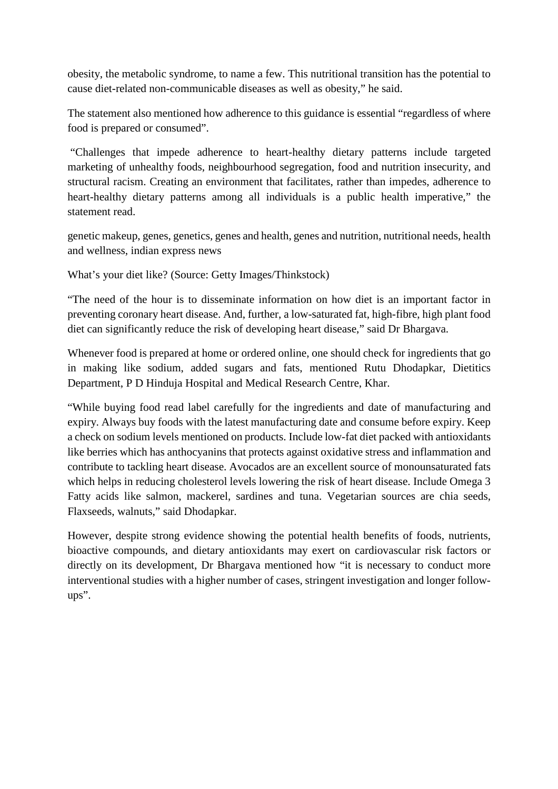obesity, the metabolic syndrome, to name a few. This nutritional transition has the potential to cause diet-related non-communicable diseases as well as obesity," he said.

The statement also mentioned how adherence to this guidance is essential "regardless of where food is prepared or consumed".

"Challenges that impede adherence to heart-healthy dietary patterns include targeted marketing of unhealthy foods, neighbourhood segregation, food and nutrition insecurity, and structural racism. Creating an environment that facilitates, rather than impedes, adherence to heart-healthy dietary patterns among all individuals is a public health imperative," the statement read.

genetic makeup, genes, genetics, genes and health, genes and nutrition, nutritional needs, health and wellness, indian express news

What's your diet like? (Source: Getty Images/Thinkstock)

"The need of the hour is to disseminate information on how diet is an important factor in preventing coronary heart disease. And, further, a low-saturated fat, high-fibre, high plant food diet can significantly reduce the risk of developing heart disease," said Dr Bhargava.

Whenever food is prepared at home or ordered online, one should check for ingredients that go in making like sodium, added sugars and fats, mentioned Rutu Dhodapkar, Dietitics Department, P D Hinduja Hospital and Medical Research Centre, Khar.

"While buying food read label carefully for the ingredients and date of manufacturing and expiry. Always buy foods with the latest manufacturing date and consume before expiry. Keep a check on sodium levels mentioned on products. Include low-fat diet packed with antioxidants like berries which has anthocyanins that protects against oxidative stress and inflammation and contribute to tackling heart disease. Avocados are an excellent source of monounsaturated fats which helps in reducing cholesterol levels lowering the risk of heart disease. Include Omega 3 Fatty acids like salmon, mackerel, sardines and tuna. Vegetarian sources are chia seeds, Flaxseeds, walnuts," said Dhodapkar.

However, despite strong evidence showing the potential health benefits of foods, nutrients, bioactive compounds, and dietary antioxidants may exert on cardiovascular risk factors or directly on its development, Dr Bhargava mentioned how "it is necessary to conduct more interventional studies with a higher number of cases, stringent investigation and longer followups".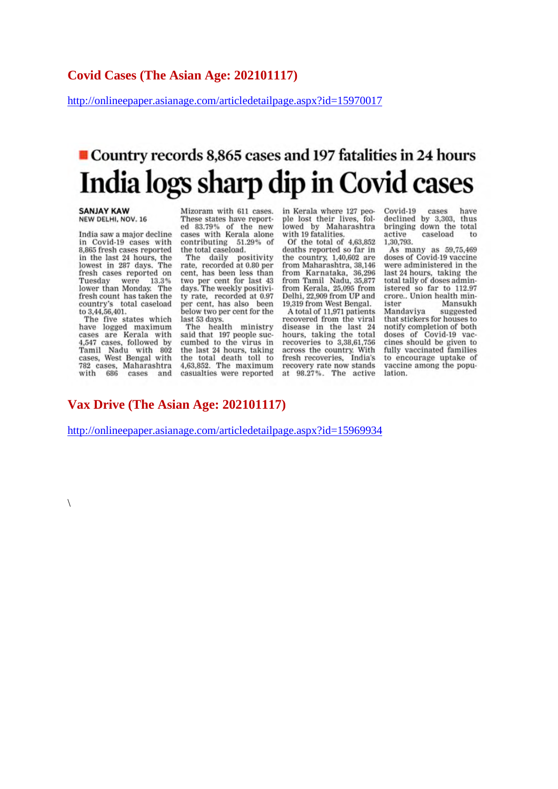## **Covid Cases (The Asian Age: 202101117)**

http://onlineepaper.asianage.com/articledetailpage.aspx?id=15970017

## Country records 8,865 cases and 197 fatalities in 24 hours India logs sharp dip in Covid cases

#### **SANJAY KAW** NEW DELHI, NOV. 16

India saw a major decline in Covid-19 cases with 8,865 fresh cases reported in the last 24 hours, the<br>lowest in 287 days. The fresh cases reported on Tuesday were 13.3% lower than Monday. The fresh count has taken the country's total caseload to 3,44,56,401.

The five states which have logged maximum cases are Kerala with 4,547 cases, followed by Tamil Nadu with 802 cases, West Bengal with 782 cases, Maharashtra with 686 cases and

 $\setminus$ 

Mizoram with 611 cases. These states have reported 83.79% of the new cases with Kerala alone contributing 51.29% of the total caseload.

The daily positivity<br>rate, recorded at 0.80 per cent, has been less than two per cent for last 43 days. The weekly positivity rate, recorded at 0.97 per cent, has also been below two per cent for the last 53 days

The health ministry said that 197 people succumbed to the virus in the last 24 hours, taking the total death toll to 4,63,852. The maximum casualties were reported in Kerala where 127 people lost their lives, followed by Maharashtra with 19 fatalities.

Of the total of  $4,63,852$ deaths reported so far in the country, 1,40,602 are from Maharashtra, 38,146 from Karnataka, 36,296 from Tamil Nadu, 35,877 from Kerala, 25,095 from Delhi, 22,909 from UP and 19,319 from West Bengal.

A total of 11,971 patients recovered from the viral disease in the last 24<br>hours, taking the total recoveries to 3,38,61,756 across the country. With fresh recoveries, India's recovery rate now stands at 98.27%. The active Covid-19 cases have declined by 3,303, thus bringing down the total active caseload to 1,30,793.

As many as 59,75,469 doses of Covid-19 vaccine were administered in the last 24 hours, taking the total tally of doses administered so far to 112.97<br>crore.. Union health minister Mansukh Mandaviya suggested that stickers for houses to notify completion of both doses of Covid-19 vaccines should be given to<br>fully vaccinated families to encourage uptake of vaccine among the population.

## **Vax Drive (The Asian Age: 202101117)**

http://onlineepaper.asianage.com/articledetailpage.aspx?id=15969934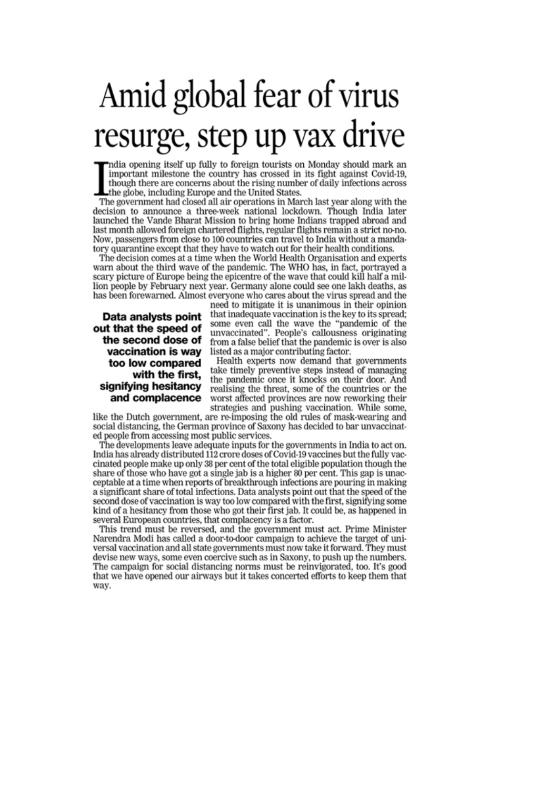# Amid global fear of virus resurge, step up vax drive

"ndia opening itself up fully to foreign tourists on Monday should mark an important milestone the country has crossed in its fight against Covid-19, though there are concerns about the rising number of daily infections across the globe, including Europe and the United States.

The government had closed all air operations in March last year along with the decision to announce a three-week national lockdown. Though India later launched the Vande Bharat Mission to bring home Indians trapped abroad and last month allowed foreign chartered flights, regular flights remain a strict no-no. Now, passengers from close to 100 countries can travel to India without a mandatory quarantine except that they have to watch out for their health conditions.

The decision comes at a time when the World Health Organisation and experts warn about the third wave of the pandemic. The WHO has, in fact, portrayed a scary picture of Europe being the epicentre of the wave that could kill half a million people by February next year. Germany alone could see one lakh deaths, as has been forewarned. Almost everyone who cares about the virus spread and the

#### Data analysts point out that the speed of the second dose of vaccination is way too low compared with the first. signifying hesitancy and complacence

need to mitigate it is unanimous in their opinion that inadequate vaccination is the key to its spread; some even call the wave the "pandemic of the unvaccinated". People's callousness originating from a false belief that the pandemic is over is also listed as a major contributing factor.

Health experts now demand that governments take timely preventive steps instead of managing the pandemic once it knocks on their door. And realising the threat, some of the countries or the worst affected provinces are now reworking their strategies and pushing vaccination. While some,

like the Dutch government, are re-imposing the old rules of mask-wearing and social distancing, the German province of Saxony has decided to bar unvaccinated people from accessing most public services.

The developments leave adequate inputs for the governments in India to act on. India has already distributed 112 crore doses of Covid-19 vaccines but the fully vaccinated people make up only 38 per cent of the total eligible population though the share of those who have got a single jab is a higher 80 per cent. This gap is unacceptable at a time when reports of breakthrough infections are pouring in making a significant share of total infections. Data analysts point out that the speed of the second dose of vaccination is way too low compared with the first, signifying some kind of a hesitancy from those who got their first jab. It could be, as happened in several European countries, that complacency is a factor.

This trend must be reversed, and the government must act. Prime Minister Narendra Modi has called a door-to-door campaign to achieve the target of universal vaccination and all state governments must now take it forward. They must devise new ways, some even coercive such as in Saxony, to push up the numbers. The campaign for social distancing norms must be reinvigorated, too. It's good that we have opened our airways but it takes concerted efforts to keep them that way.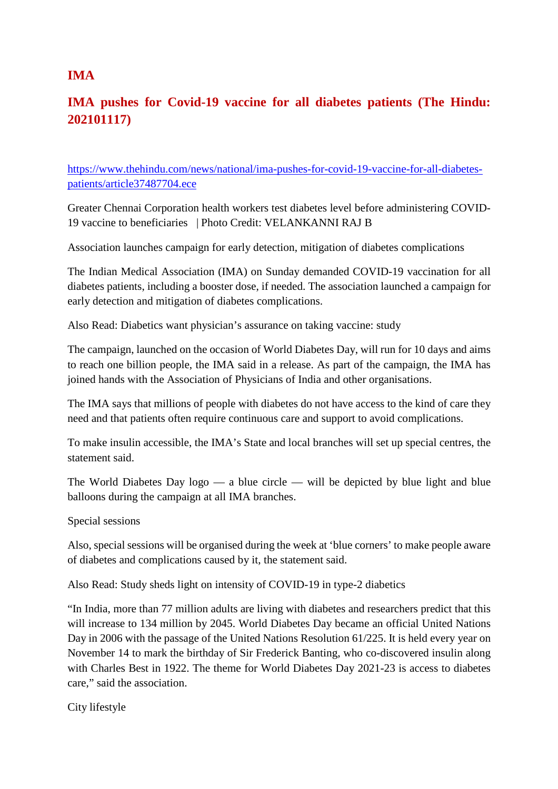## **IMA**

## **IMA pushes for Covid-19 vaccine for all diabetes patients (The Hindu: 202101117)**

https://www.thehindu.com/news/national/ima-pushes-for-covid-19-vaccine-for-all-diabetespatients/article37487704.ece

Greater Chennai Corporation health workers test diabetes level before administering COVID-19 vaccine to beneficiaries | Photo Credit: VELANKANNI RAJ B

Association launches campaign for early detection, mitigation of diabetes complications

The Indian Medical Association (IMA) on Sunday demanded COVID-19 vaccination for all diabetes patients, including a booster dose, if needed. The association launched a campaign for early detection and mitigation of diabetes complications.

Also Read: Diabetics want physician's assurance on taking vaccine: study

The campaign, launched on the occasion of World Diabetes Day, will run for 10 days and aims to reach one billion people, the IMA said in a release. As part of the campaign, the IMA has joined hands with the Association of Physicians of India and other organisations.

The IMA says that millions of people with diabetes do not have access to the kind of care they need and that patients often require continuous care and support to avoid complications.

To make insulin accessible, the IMA's State and local branches will set up special centres, the statement said.

The World Diabetes Day logo — a blue circle — will be depicted by blue light and blue balloons during the campaign at all IMA branches.

Special sessions

Also, special sessions will be organised during the week at 'blue corners' to make people aware of diabetes and complications caused by it, the statement said.

Also Read: Study sheds light on intensity of COVID-19 in type-2 diabetics

"In India, more than 77 million adults are living with diabetes and researchers predict that this will increase to 134 million by 2045. World Diabetes Day became an official United Nations Day in 2006 with the passage of the United Nations Resolution 61/225. It is held every year on November 14 to mark the birthday of Sir Frederick Banting, who co-discovered insulin along with Charles Best in 1922. The theme for World Diabetes Day 2021-23 is access to diabetes care," said the association.

City lifestyle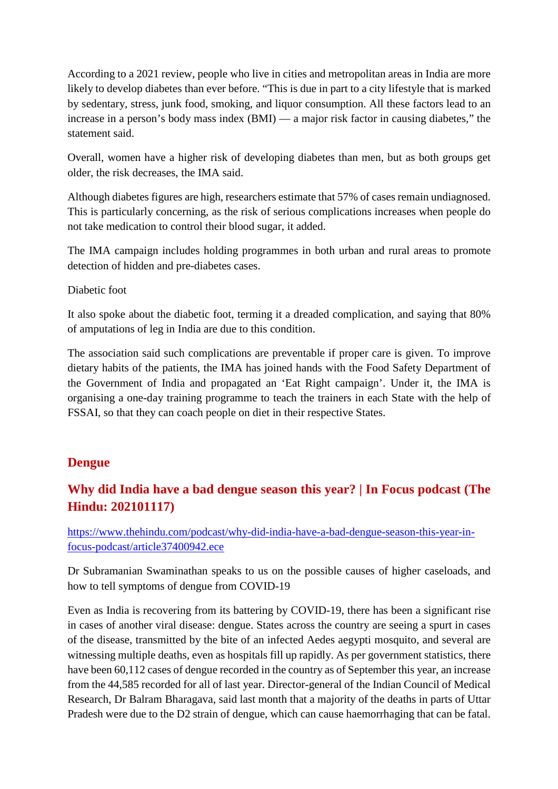According to a 2021 review, people who live in cities and metropolitan areas in India are more likely to develop diabetes than ever before. "This is due in part to a city lifestyle that is marked by sedentary, stress, junk food, smoking, and liquor consumption. All these factors lead to an increase in a person's body mass index (BMI) — a major risk factor in causing diabetes," the statement said.

Overall, women have a higher risk of developing diabetes than men, but as both groups get older, the risk decreases, the IMA said.

Although diabetes figures are high, researchers estimate that 57% of cases remain undiagnosed. This is particularly concerning, as the risk of serious complications increases when people do not take medication to control their blood sugar, it added.

The IMA campaign includes holding programmes in both urban and rural areas to promote detection of hidden and pre-diabetes cases.

## Diabetic foot

It also spoke about the diabetic foot, terming it a dreaded complication, and saying that 80% of amputations of leg in India are due to this condition.

The association said such complications are preventable if proper care is given. To improve dietary habits of the patients, the IMA has joined hands with the Food Safety Department of the Government of India and propagated an 'Eat Right campaign'. Under it, the IMA is organising a one-day training programme to teach the trainers in each State with the help of FSSAI, so that they can coach people on diet in their respective States.

## **Dengue**

## **Why did India have a bad dengue season this year? | In Focus podcast (The Hindu: 202101117)**

https://www.thehindu.com/podcast/why-did-india-have-a-bad-dengue-season-this-year-infocus-podcast/article37400942.ece

Dr Subramanian Swaminathan speaks to us on the possible causes of higher caseloads, and how to tell symptoms of dengue from COVID-19

Even as India is recovering from its battering by COVID-19, there has been a significant rise in cases of another viral disease: dengue. States across the country are seeing a spurt in cases of the disease, transmitted by the bite of an infected Aedes aegypti mosquito, and several are witnessing multiple deaths, even as hospitals fill up rapidly. As per government statistics, there have been 60,112 cases of dengue recorded in the country as of September this year, an increase from the 44,585 recorded for all of last year. Director-general of the Indian Council of Medical Research, Dr Balram Bharagava, said last month that a majority of the deaths in parts of Uttar Pradesh were due to the D2 strain of dengue, which can cause haemorrhaging that can be fatal.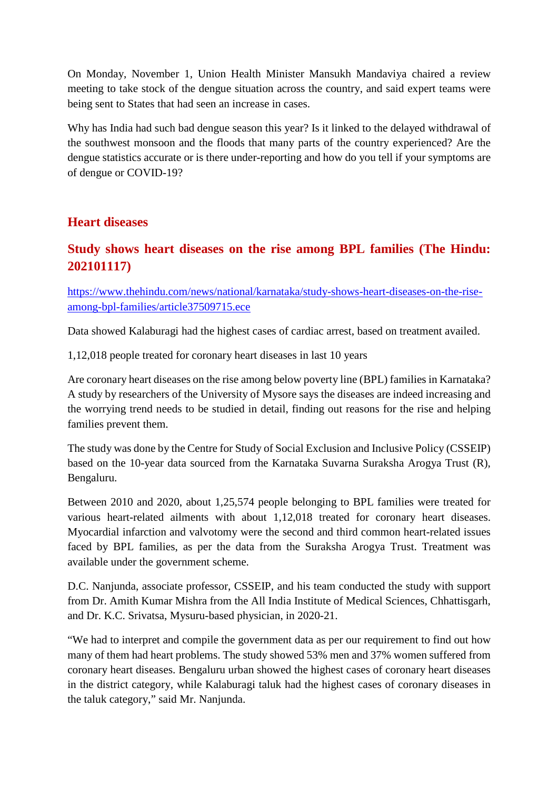On Monday, November 1, Union Health Minister Mansukh Mandaviya chaired a review meeting to take stock of the dengue situation across the country, and said expert teams were being sent to States that had seen an increase in cases.

Why has India had such bad dengue season this year? Is it linked to the delayed withdrawal of the southwest monsoon and the floods that many parts of the country experienced? Are the dengue statistics accurate or is there under-reporting and how do you tell if your symptoms are of dengue or COVID-19?

## **Heart diseases**

## **Study shows heart diseases on the rise among BPL families (The Hindu: 202101117)**

https://www.thehindu.com/news/national/karnataka/study-shows-heart-diseases-on-the-riseamong-bpl-families/article37509715.ece

Data showed Kalaburagi had the highest cases of cardiac arrest, based on treatment availed.

1,12,018 people treated for coronary heart diseases in last 10 years

Are coronary heart diseases on the rise among below poverty line (BPL) families in Karnataka? A study by researchers of the University of Mysore says the diseases are indeed increasing and the worrying trend needs to be studied in detail, finding out reasons for the rise and helping families prevent them.

The study was done by the Centre for Study of Social Exclusion and Inclusive Policy (CSSEIP) based on the 10-year data sourced from the Karnataka Suvarna Suraksha Arogya Trust (R), Bengaluru.

Between 2010 and 2020, about 1,25,574 people belonging to BPL families were treated for various heart-related ailments with about 1,12,018 treated for coronary heart diseases. Myocardial infarction and valvotomy were the second and third common heart-related issues faced by BPL families, as per the data from the Suraksha Arogya Trust. Treatment was available under the government scheme.

D.C. Nanjunda, associate professor, CSSEIP, and his team conducted the study with support from Dr. Amith Kumar Mishra from the All India Institute of Medical Sciences, Chhattisgarh, and Dr. K.C. Srivatsa, Mysuru-based physician, in 2020-21.

"We had to interpret and compile the government data as per our requirement to find out how many of them had heart problems. The study showed 53% men and 37% women suffered from coronary heart diseases. Bengaluru urban showed the highest cases of coronary heart diseases in the district category, while Kalaburagi taluk had the highest cases of coronary diseases in the taluk category," said Mr. Nanjunda.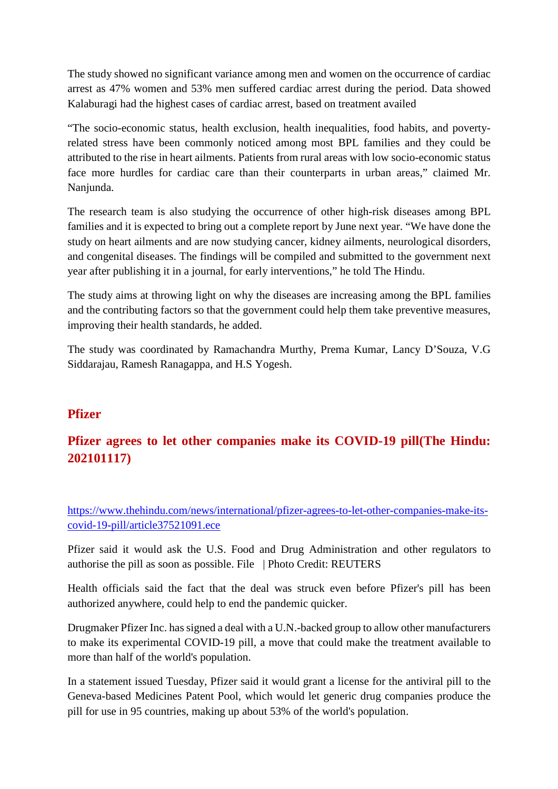The study showed no significant variance among men and women on the occurrence of cardiac arrest as 47% women and 53% men suffered cardiac arrest during the period. Data showed Kalaburagi had the highest cases of cardiac arrest, based on treatment availed

"The socio-economic status, health exclusion, health inequalities, food habits, and povertyrelated stress have been commonly noticed among most BPL families and they could be attributed to the rise in heart ailments. Patients from rural areas with low socio-economic status face more hurdles for cardiac care than their counterparts in urban areas," claimed Mr. Nanjunda.

The research team is also studying the occurrence of other high-risk diseases among BPL families and it is expected to bring out a complete report by June next year. "We have done the study on heart ailments and are now studying cancer, kidney ailments, neurological disorders, and congenital diseases. The findings will be compiled and submitted to the government next year after publishing it in a journal, for early interventions," he told The Hindu.

The study aims at throwing light on why the diseases are increasing among the BPL families and the contributing factors so that the government could help them take preventive measures, improving their health standards, he added.

The study was coordinated by Ramachandra Murthy, Prema Kumar, Lancy D'Souza, V.G Siddarajau, Ramesh Ranagappa, and H.S Yogesh.

## **Pfizer**

## **Pfizer agrees to let other companies make its COVID-19 pill(The Hindu: 202101117)**

https://www.thehindu.com/news/international/pfizer-agrees-to-let-other-companies-make-itscovid-19-pill/article37521091.ece

Pfizer said it would ask the U.S. Food and Drug Administration and other regulators to authorise the pill as soon as possible. File | Photo Credit: REUTERS

Health officials said the fact that the deal was struck even before Pfizer's pill has been authorized anywhere, could help to end the pandemic quicker.

Drugmaker Pfizer Inc. has signed a deal with a U.N.-backed group to allow other manufacturers to make its experimental COVID-19 pill, a move that could make the treatment available to more than half of the world's population.

In a statement issued Tuesday, Pfizer said it would grant a license for the antiviral pill to the Geneva-based Medicines Patent Pool, which would let generic drug companies produce the pill for use in 95 countries, making up about 53% of the world's population.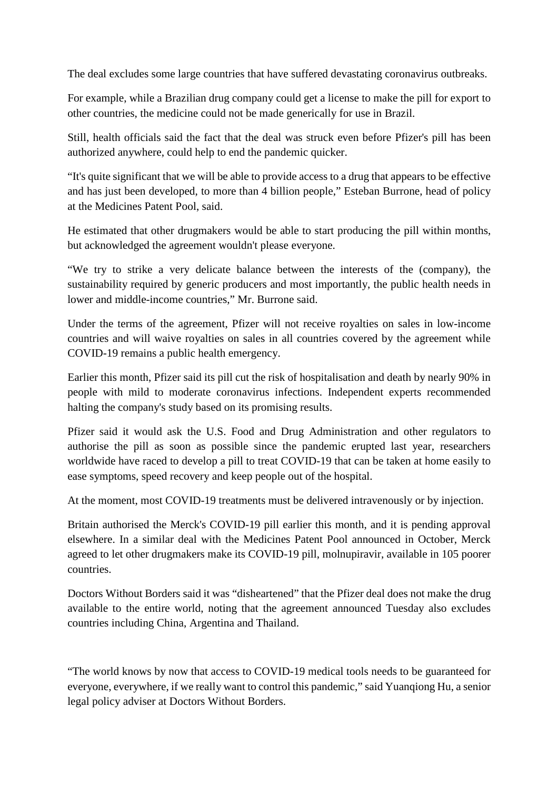The deal excludes some large countries that have suffered devastating coronavirus outbreaks.

For example, while a Brazilian drug company could get a license to make the pill for export to other countries, the medicine could not be made generically for use in Brazil.

Still, health officials said the fact that the deal was struck even before Pfizer's pill has been authorized anywhere, could help to end the pandemic quicker.

"It's quite significant that we will be able to provide access to a drug that appears to be effective and has just been developed, to more than 4 billion people," Esteban Burrone, head of policy at the Medicines Patent Pool, said.

He estimated that other drugmakers would be able to start producing the pill within months, but acknowledged the agreement wouldn't please everyone.

"We try to strike a very delicate balance between the interests of the (company), the sustainability required by generic producers and most importantly, the public health needs in lower and middle-income countries," Mr. Burrone said.

Under the terms of the agreement, Pfizer will not receive royalties on sales in low-income countries and will waive royalties on sales in all countries covered by the agreement while COVID-19 remains a public health emergency.

Earlier this month, Pfizer said its pill cut the risk of hospitalisation and death by nearly 90% in people with mild to moderate coronavirus infections. Independent experts recommended halting the company's study based on its promising results.

Pfizer said it would ask the U.S. Food and Drug Administration and other regulators to authorise the pill as soon as possible since the pandemic erupted last year, researchers worldwide have raced to develop a pill to treat COVID-19 that can be taken at home easily to ease symptoms, speed recovery and keep people out of the hospital.

At the moment, most COVID-19 treatments must be delivered intravenously or by injection.

Britain authorised the Merck's COVID-19 pill earlier this month, and it is pending approval elsewhere. In a similar deal with the Medicines Patent Pool announced in October, Merck agreed to let other drugmakers make its COVID-19 pill, molnupiravir, available in 105 poorer countries.

Doctors Without Borders said it was "disheartened" that the Pfizer deal does not make the drug available to the entire world, noting that the agreement announced Tuesday also excludes countries including China, Argentina and Thailand.

"The world knows by now that access to COVID-19 medical tools needs to be guaranteed for everyone, everywhere, if we really want to control this pandemic," said Yuanqiong Hu, a senior legal policy adviser at Doctors Without Borders.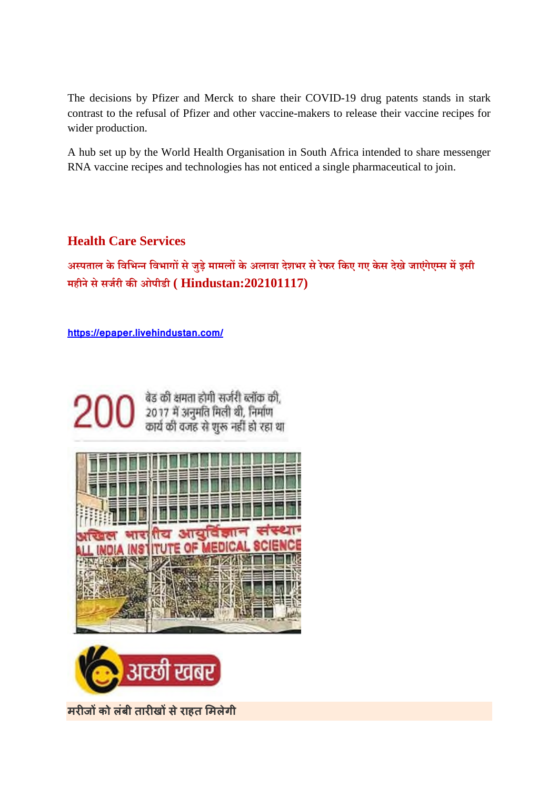The decisions by Pfizer and Merck to share their COVID-19 drug patents stands in stark contrast to the refusal of Pfizer and other vaccine-makers to release their vaccine recipes for wider production.

A hub set up by the World Health Organisation in South Africa intended to share messenger RNA vaccine recipes and technologies has not enticed a single pharmaceutical to join.

## **Health Care Services**

**अपताल के िविभन िवभागसेजुड़ेमामलके अलावा देशभर सेरेफर िकए गए केस देखेजाएगं ेएस मइसी महीनेसेसजरी कओपीडी ( Hindustan:202101117)**

**https://epaper.livehindustan.com/**



बेड की क्षमता होगी सर्जरी ब्लॉक की,<br>2017 में अनुमति मिली थी, निर्माण<br>कार्य की वजह से शुरू नहीं हो रहा था





**मरजको लंबी तारखसेराहत मलेगी**